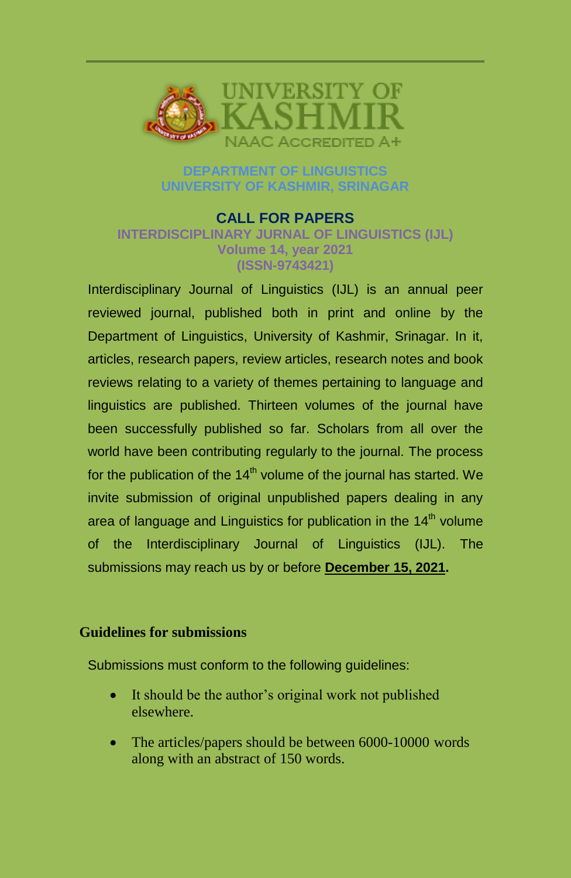

# **DEPARTMENT OF LINGUISTICS UNIVERSITY OF KASHMIR, SRINAGAR**

#### **CALL FOR PAPERS INTERDISCIPLINARY JURNAL OF LINGUISTICS (IJL) Volume 14, year 2021 (ISSN-9743421)**

Interdisciplinary Journal of Linguistics (IJL) is an annual peer reviewed journal, published both in print and online by the Department of Linguistics, University of Kashmir, Srinagar. In it, articles, research papers, review articles, research notes and book reviews relating to a variety of themes pertaining to language and linguistics are published. Thirteen volumes of the journal have been successfully published so far. Scholars from all over the world have been contributing regularly to the journal. The process for the publication of the  $14<sup>th</sup>$  volume of the journal has started. We invite submission of original unpublished papers dealing in any area of language and Linguistics for publication in the  $14<sup>th</sup>$  volume of the Interdisciplinary Journal of Linguistics (IJL). The submissions may reach us by or before **December 15, 2021.**

## **Guidelines for submissions**

Submissions must conform to the following guidelines:

- It should be the author's original work not published elsewhere.
- The articles/papers should be between 6000-10000 words along with an abstract of 150 words.